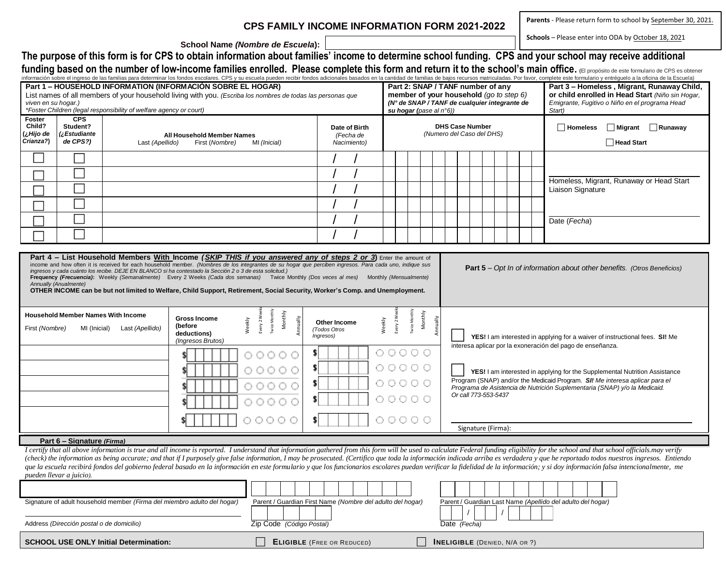## **CPS FAMILY INCOME INFORMATION FORM 2021-2022**

**Parents** - Please return form to school by September 30, 2021.

**Schools** – Please enter into ODA by October 18, 2021

**School Name** *(Nombre de Escuela***):**

**The purpose of this form is for CPS to obtain information about families' income to determine school funding. CPS and your school may receive additional**  funding based on the number of low-income families enrolled. Please complete this form and return it to the school's main office. (El propósito de este formulario de CPS es obtener

|                                                                                                                                                                                                                                                                                                                                                                                                                                                                                                                                                                                                                                                                                                                                                                                                                                                                                                                                                                                                                                                                                  |                            |                                                                          |                                |                   |       |                                                            |  |                            |                             |                                       |                                       |                                                                                          |  |                                                            |  |        |                                                                                                    |              | información sobre el ingreso de las familias para determinar los fondos escolares. CPS y su escuela pueden recibir fondos adicionales basados en la cantidad de familias de bajos recursos matriculadas. Por favor, complete e         |  |  |
|----------------------------------------------------------------------------------------------------------------------------------------------------------------------------------------------------------------------------------------------------------------------------------------------------------------------------------------------------------------------------------------------------------------------------------------------------------------------------------------------------------------------------------------------------------------------------------------------------------------------------------------------------------------------------------------------------------------------------------------------------------------------------------------------------------------------------------------------------------------------------------------------------------------------------------------------------------------------------------------------------------------------------------------------------------------------------------|----------------------------|--------------------------------------------------------------------------|--------------------------------|-------------------|-------|------------------------------------------------------------|--|----------------------------|-----------------------------|---------------------------------------|---------------------------------------|------------------------------------------------------------------------------------------|--|------------------------------------------------------------|--|--------|----------------------------------------------------------------------------------------------------|--------------|----------------------------------------------------------------------------------------------------------------------------------------------------------------------------------------------------------------------------------------|--|--|
| Part 1 - HOUSEHOLD INFORMATION (INFORMACIÓN SOBRE EL HOGAR)                                                                                                                                                                                                                                                                                                                                                                                                                                                                                                                                                                                                                                                                                                                                                                                                                                                                                                                                                                                                                      |                            |                                                                          |                                |                   |       |                                                            |  |                            |                             |                                       |                                       | Part 2: SNAP / TANF number of any                                                        |  |                                                            |  |        | Part 3 - Homeless, Migrant, Runaway Child,                                                         |              |                                                                                                                                                                                                                                        |  |  |
| List names of all members of your household living with you. (Escriba los nombres de todas las personas que<br>viven en su hogar.)                                                                                                                                                                                                                                                                                                                                                                                                                                                                                                                                                                                                                                                                                                                                                                                                                                                                                                                                               |                            |                                                                          |                                |                   |       |                                                            |  |                            |                             |                                       |                                       | member of your household (go to step 6)<br>(N° de SNAP / TANF de cualquier integrante de |  |                                                            |  |        | or child enrolled in Head Start (Niño sin Hogar,<br>Emigrante, Fugitivo o Niño en el programa Head |              |                                                                                                                                                                                                                                        |  |  |
| *Foster Children (legal responsibility of welfare agency or court)<br>su hogar (pase al n°6))                                                                                                                                                                                                                                                                                                                                                                                                                                                                                                                                                                                                                                                                                                                                                                                                                                                                                                                                                                                    |                            |                                                                          |                                |                   |       |                                                            |  |                            |                             |                                       |                                       |                                                                                          |  |                                                            |  | Start) |                                                                                                    |              |                                                                                                                                                                                                                                        |  |  |
| Foster                                                                                                                                                                                                                                                                                                                                                                                                                                                                                                                                                                                                                                                                                                                                                                                                                                                                                                                                                                                                                                                                           | <b>CPS</b>                 |                                                                          |                                |                   |       |                                                            |  |                            |                             |                                       |                                       |                                                                                          |  |                                                            |  |        |                                                                                                    |              |                                                                                                                                                                                                                                        |  |  |
| Child?<br>(¿Hijo de                                                                                                                                                                                                                                                                                                                                                                                                                                                                                                                                                                                                                                                                                                                                                                                                                                                                                                                                                                                                                                                              | Student?<br>Estudiante£ ج  | All Household Member Names                                               |                                |                   |       |                                                            |  | Date of Birth<br>(Fecha de |                             |                                       |                                       |                                                                                          |  | <b>DHS Case Number</b><br>(Numero del Caso del DHS)        |  |        |                                                                                                    |              | $\Box$ Homeless<br>Migrant Runaway                                                                                                                                                                                                     |  |  |
| Crianza?)                                                                                                                                                                                                                                                                                                                                                                                                                                                                                                                                                                                                                                                                                                                                                                                                                                                                                                                                                                                                                                                                        | de CPS?)                   | Last (Apellido)                                                          | First (Nombre)<br>MI (Inicial) |                   |       |                                                            |  | Nacimiento)                |                             |                                       |                                       |                                                                                          |  |                                                            |  |        |                                                                                                    | □ Head Start |                                                                                                                                                                                                                                        |  |  |
|                                                                                                                                                                                                                                                                                                                                                                                                                                                                                                                                                                                                                                                                                                                                                                                                                                                                                                                                                                                                                                                                                  |                            |                                                                          |                                |                   |       |                                                            |  |                            |                             |                                       |                                       |                                                                                          |  |                                                            |  |        |                                                                                                    |              |                                                                                                                                                                                                                                        |  |  |
|                                                                                                                                                                                                                                                                                                                                                                                                                                                                                                                                                                                                                                                                                                                                                                                                                                                                                                                                                                                                                                                                                  |                            |                                                                          |                                |                   |       |                                                            |  |                            |                             |                                       |                                       |                                                                                          |  |                                                            |  |        |                                                                                                    |              |                                                                                                                                                                                                                                        |  |  |
|                                                                                                                                                                                                                                                                                                                                                                                                                                                                                                                                                                                                                                                                                                                                                                                                                                                                                                                                                                                                                                                                                  |                            |                                                                          |                                |                   |       |                                                            |  |                            |                             |                                       |                                       |                                                                                          |  |                                                            |  |        |                                                                                                    |              | Homeless, Migrant, Runaway or Head Start                                                                                                                                                                                               |  |  |
|                                                                                                                                                                                                                                                                                                                                                                                                                                                                                                                                                                                                                                                                                                                                                                                                                                                                                                                                                                                                                                                                                  |                            |                                                                          |                                |                   |       |                                                            |  |                            |                             |                                       |                                       |                                                                                          |  |                                                            |  |        | Liaison Signature                                                                                  |              |                                                                                                                                                                                                                                        |  |  |
|                                                                                                                                                                                                                                                                                                                                                                                                                                                                                                                                                                                                                                                                                                                                                                                                                                                                                                                                                                                                                                                                                  |                            |                                                                          |                                |                   |       |                                                            |  |                            |                             |                                       |                                       |                                                                                          |  |                                                            |  |        |                                                                                                    |              |                                                                                                                                                                                                                                        |  |  |
|                                                                                                                                                                                                                                                                                                                                                                                                                                                                                                                                                                                                                                                                                                                                                                                                                                                                                                                                                                                                                                                                                  |                            |                                                                          |                                |                   |       |                                                            |  |                            |                             |                                       |                                       |                                                                                          |  |                                                            |  |        |                                                                                                    |              | Date (Fecha)                                                                                                                                                                                                                           |  |  |
|                                                                                                                                                                                                                                                                                                                                                                                                                                                                                                                                                                                                                                                                                                                                                                                                                                                                                                                                                                                                                                                                                  |                            |                                                                          |                                |                   |       |                                                            |  |                            |                             |                                       |                                       |                                                                                          |  |                                                            |  |        |                                                                                                    |              |                                                                                                                                                                                                                                        |  |  |
|                                                                                                                                                                                                                                                                                                                                                                                                                                                                                                                                                                                                                                                                                                                                                                                                                                                                                                                                                                                                                                                                                  |                            |                                                                          |                                |                   |       |                                                            |  |                            |                             |                                       |                                       |                                                                                          |  |                                                            |  |        |                                                                                                    |              |                                                                                                                                                                                                                                        |  |  |
| Part 4 – List Household Members With Income <i>(SKIP THIS if you answered any of steps 2 or 3</i> ) Enter the amount of<br>income and how often it is received for each household member. (Nombres de los integrantes de su hogar que perciben ingresos. Para cada uno, indique sus<br><b>Part 5</b> – Opt In of information about other benefits. (Otros Beneficios)<br>ingresos y cada cuánto los recibe. DEJE EN BLANCO si ha contestado la Sección 2 o 3 de esta solicitud.)<br>Frequency (Frecuencia): Weekly (Semanalmente) Every 2 Weeks (Cada dos semanas) Twice Monthly (Dos veces al mes) Monthly (Mensualmente)<br>Annually (Anualmente)<br>OTHER INCOME can be but not limited to Welfare, Child Support, Retirement, Social Security, Worker's Comp. and Unemployment.<br>Twice Monthly<br><b>Twice Monthly</b><br>Monthly<br>Monthly<br><b>Household Member Names With Income</b><br>Every 2 Wee<br>Every 2 Wer<br><b>Gross Income</b><br>Annually<br>Annually<br>Weekly<br>Weekly<br>Other Income<br>(before<br>First (Nombre)<br>MI (Inicial)<br>Last (Apellido) |                            |                                                                          |                                |                   |       |                                                            |  |                            |                             |                                       |                                       |                                                                                          |  |                                                            |  |        |                                                                                                    |              |                                                                                                                                                                                                                                        |  |  |
|                                                                                                                                                                                                                                                                                                                                                                                                                                                                                                                                                                                                                                                                                                                                                                                                                                                                                                                                                                                                                                                                                  |                            |                                                                          | deductions)                    | (Ingresos Brutos) |       |                                                            |  | (Todos Otros<br>Ingresos)  |                             |                                       | $\circ \circ \circ \circ \circ \circ$ |                                                                                          |  | interesa aplicar por la exoneración del pago de enseñanza. |  |        |                                                                                                    |              | YES! I am interested in applying for a waiver of instructional fees. SI! Me                                                                                                                                                            |  |  |
|                                                                                                                                                                                                                                                                                                                                                                                                                                                                                                                                                                                                                                                                                                                                                                                                                                                                                                                                                                                                                                                                                  |                            |                                                                          |                                |                   |       | 00000                                                      |  |                            |                             |                                       |                                       |                                                                                          |  |                                                            |  |        |                                                                                                    |              |                                                                                                                                                                                                                                        |  |  |
|                                                                                                                                                                                                                                                                                                                                                                                                                                                                                                                                                                                                                                                                                                                                                                                                                                                                                                                                                                                                                                                                                  |                            |                                                                          |                                |                   |       | 00000                                                      |  |                            |                             | $\circ \circ \circ \circ \circ \circ$ |                                       |                                                                                          |  |                                                            |  |        |                                                                                                    |              | YES! I am interested in applying for the Supplemental Nutrition Assistance<br>Program (SNAP) and/or the Medicaid Program. SI! Me interesa aplicar para el<br>Programa de Asistencia de Nutrición Suplementaria (SNAP) y/o la Medicaid. |  |  |
|                                                                                                                                                                                                                                                                                                                                                                                                                                                                                                                                                                                                                                                                                                                                                                                                                                                                                                                                                                                                                                                                                  |                            |                                                                          |                                |                   | 00000 |                                                            |  |                            | $\circ\circ\circ\circ\circ$ |                                       |                                       |                                                                                          |  |                                                            |  |        |                                                                                                    |              |                                                                                                                                                                                                                                        |  |  |
|                                                                                                                                                                                                                                                                                                                                                                                                                                                                                                                                                                                                                                                                                                                                                                                                                                                                                                                                                                                                                                                                                  |                            |                                                                          |                                |                   |       | 0000                                                       |  |                            |                             | $\circ \circ \circ \circ \circ \circ$ |                                       |                                                                                          |  | Or call 773-553-5437                                       |  |        |                                                                                                    |              |                                                                                                                                                                                                                                        |  |  |
|                                                                                                                                                                                                                                                                                                                                                                                                                                                                                                                                                                                                                                                                                                                                                                                                                                                                                                                                                                                                                                                                                  |                            |                                                                          |                                |                   |       |                                                            |  |                            |                             |                                       |                                       |                                                                                          |  |                                                            |  |        |                                                                                                    |              |                                                                                                                                                                                                                                        |  |  |
|                                                                                                                                                                                                                                                                                                                                                                                                                                                                                                                                                                                                                                                                                                                                                                                                                                                                                                                                                                                                                                                                                  |                            |                                                                          |                                |                   |       | 00000                                                      |  | s.                         |                             | 00000                                 |                                       |                                                                                          |  |                                                            |  |        |                                                                                                    |              |                                                                                                                                                                                                                                        |  |  |
|                                                                                                                                                                                                                                                                                                                                                                                                                                                                                                                                                                                                                                                                                                                                                                                                                                                                                                                                                                                                                                                                                  |                            |                                                                          |                                |                   |       |                                                            |  |                            |                             |                                       |                                       |                                                                                          |  | Signature (Firma):                                         |  |        |                                                                                                    |              |                                                                                                                                                                                                                                        |  |  |
|                                                                                                                                                                                                                                                                                                                                                                                                                                                                                                                                                                                                                                                                                                                                                                                                                                                                                                                                                                                                                                                                                  | Part 6 - Signature (Firma) |                                                                          |                                |                   |       |                                                            |  |                            |                             |                                       |                                       |                                                                                          |  |                                                            |  |        |                                                                                                    |              |                                                                                                                                                                                                                                        |  |  |
| I certify that all above information is true and all income is reported. I understand that information gathered from this form will be used to calculate Federal funding eligibility for the school and that school officials<br>(check) the information as being accurate; and that if I purposely give false information, I may be prosecuted. (Certifico que toda la información indicada arriba es verdadera y que he reportado todos nuestros ingresos. En<br>que la escuela recibirá fondos del gobierno federal basado en la información en este formulario y que los funcionarios escolares puedan verificar la fidelidad de la información; y si doy información falsa intencionalmente,<br>pueden llevar a juicio).                                                                                                                                                                                                                                                                                                                                                    |                            |                                                                          |                                |                   |       |                                                            |  |                            |                             |                                       |                                       |                                                                                          |  |                                                            |  |        |                                                                                                    |              |                                                                                                                                                                                                                                        |  |  |
|                                                                                                                                                                                                                                                                                                                                                                                                                                                                                                                                                                                                                                                                                                                                                                                                                                                                                                                                                                                                                                                                                  |                            |                                                                          |                                |                   |       |                                                            |  |                            |                             |                                       |                                       |                                                                                          |  |                                                            |  |        |                                                                                                    |              |                                                                                                                                                                                                                                        |  |  |
|                                                                                                                                                                                                                                                                                                                                                                                                                                                                                                                                                                                                                                                                                                                                                                                                                                                                                                                                                                                                                                                                                  |                            | Signature of adult household member (Firma del miembro adulto del hogar) |                                |                   |       | Parent / Guardian First Name (Nombre del adulto del hogar) |  |                            |                             |                                       |                                       |                                                                                          |  |                                                            |  |        |                                                                                                    |              | Parent / Guardian Last Name (Apellido del adulto del hogar)                                                                                                                                                                            |  |  |

| Address (Dirección postal o de domicilio) | Zip Code (Código Postal) | Date (Fecha) |
|-------------------------------------------|--------------------------|--------------|

| <b>SCHOOL USE ONLY Initial Determination:</b> |  | <b>ELIGIBLE</b> (FREE OR REDUCED) |  | <b>INELIGIBLE</b> (DENIED, N/A OR ?) |
|-----------------------------------------------|--|-----------------------------------|--|--------------------------------------|
|-----------------------------------------------|--|-----------------------------------|--|--------------------------------------|

 $/$